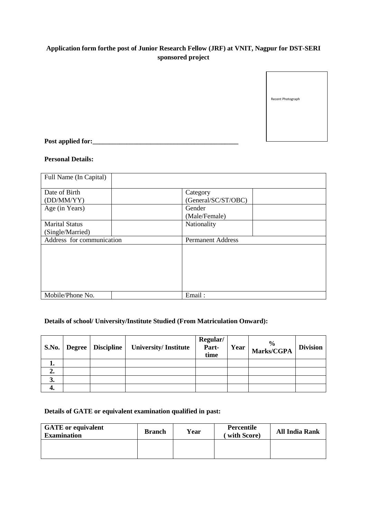## **Application form forthe post of Junior Research Fellow (JRF) at VNIT, Nagpur for DST-SERI sponsored project**



**Post applied for:\_\_\_\_\_\_\_\_\_\_\_\_\_\_\_\_\_\_\_\_\_\_\_\_\_\_\_\_\_\_\_\_\_\_\_\_\_\_\_\_\_\_\_**

### **Personal Details:**

| Full Name (In Capital)    |                          |
|---------------------------|--------------------------|
| Date of Birth             | Category                 |
| (DD/MM/YY)                | (General/SC/ST/OBC)      |
| Age (in Years)            | Gender                   |
|                           | (Male/Female)            |
| <b>Marital Status</b>     | Nationality              |
| (Single/Married)          |                          |
| Address for communication | <b>Permanent Address</b> |
|                           |                          |
|                           |                          |
|                           |                          |
|                           |                          |
|                           |                          |
|                           |                          |
| Mobile/Phone No.          | Email:                   |

## **Details of school/ University/Institute Studied (From Matriculation Onward):**

| S.No.   | Degree   Discipline | <b>University/Institute</b> | Regular/<br>Part-<br>time | Year | %<br>  Marks/CGPA | <b>Division</b> |
|---------|---------------------|-----------------------------|---------------------------|------|-------------------|-----------------|
|         |                     |                             |                           |      |                   |                 |
| ◠<br>۷. |                     |                             |                           |      |                   |                 |
| 3.      |                     |                             |                           |      |                   |                 |
| ч.      |                     |                             |                           |      |                   |                 |

# **Details of GATE or equivalent examination qualified in past:**

| <b>GATE</b> or equivalent<br><b>Examination</b> | <b>Branch</b> | Year | Percentile<br>with Score) | All India Rank |
|-------------------------------------------------|---------------|------|---------------------------|----------------|
|                                                 |               |      |                           |                |